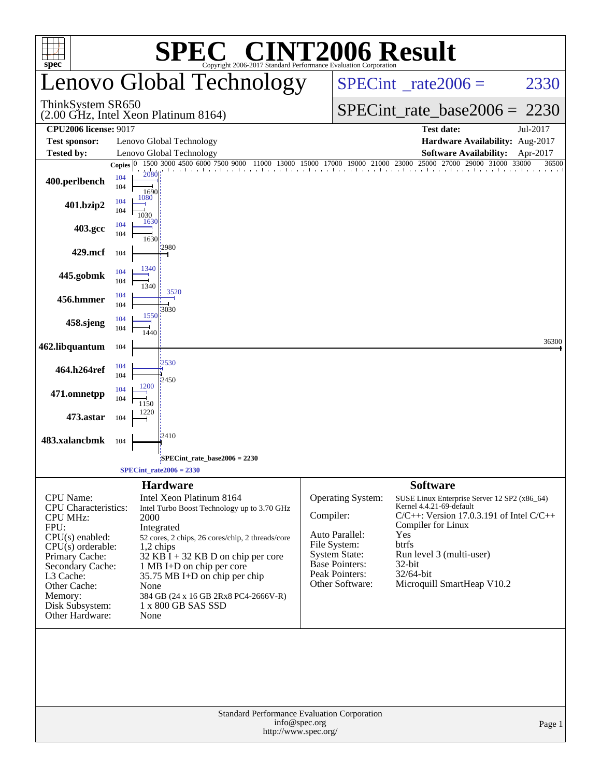|                                                                                                                                                                                                                                            |                    |                                                                                                                                                                                                                                                                                                                                                                                 |                                                                                                                                                        | <b>C® CINT2006 Result</b>                                                                                                                                          |                                                                                               |  |  |  |  |
|--------------------------------------------------------------------------------------------------------------------------------------------------------------------------------------------------------------------------------------------|--------------------|---------------------------------------------------------------------------------------------------------------------------------------------------------------------------------------------------------------------------------------------------------------------------------------------------------------------------------------------------------------------------------|--------------------------------------------------------------------------------------------------------------------------------------------------------|--------------------------------------------------------------------------------------------------------------------------------------------------------------------|-----------------------------------------------------------------------------------------------|--|--|--|--|
| $spec^{\circ}$                                                                                                                                                                                                                             |                    | Copyright 2006-2017 Standard Performance Evaluation Corporation<br>Lenovo Global Technology                                                                                                                                                                                                                                                                                     |                                                                                                                                                        | $SPECint^{\circ}$ rate $2006 =$                                                                                                                                    | 2330                                                                                          |  |  |  |  |
| ThinkSystem SR650                                                                                                                                                                                                                          |                    | $(2.00 \text{ GHz}, \text{Intel Xeon}$ Platinum 8164)                                                                                                                                                                                                                                                                                                                           |                                                                                                                                                        | $SPECint_rate_base2006 = 2230$                                                                                                                                     |                                                                                               |  |  |  |  |
| <b>CPU2006 license: 9017</b>                                                                                                                                                                                                               |                    |                                                                                                                                                                                                                                                                                                                                                                                 |                                                                                                                                                        | <b>Test date:</b>                                                                                                                                                  | Jul-2017                                                                                      |  |  |  |  |
| <b>Test sponsor:</b>                                                                                                                                                                                                                       |                    | Lenovo Global Technology                                                                                                                                                                                                                                                                                                                                                        |                                                                                                                                                        | Hardware Availability: Aug-2017                                                                                                                                    |                                                                                               |  |  |  |  |
| <b>Tested by:</b>                                                                                                                                                                                                                          | Copies $ 0\rangle$ | Lenovo Global Technology<br>1500 3000 4500 6000 7500 9000 11000 13000 15000 17000 19000 21000 23000 25000 27000 29000 31000 33000                                                                                                                                                                                                                                               |                                                                                                                                                        |                                                                                                                                                                    | <b>Software Availability:</b><br>Apr-2017<br>36500                                            |  |  |  |  |
| 400.perlbench                                                                                                                                                                                                                              | 104<br>104         | 2080<br>1690                                                                                                                                                                                                                                                                                                                                                                    |                                                                                                                                                        |                                                                                                                                                                    |                                                                                               |  |  |  |  |
| 401.bzip2                                                                                                                                                                                                                                  | 104<br>104         | 1080<br>1030                                                                                                                                                                                                                                                                                                                                                                    |                                                                                                                                                        |                                                                                                                                                                    |                                                                                               |  |  |  |  |
| 403.gcc                                                                                                                                                                                                                                    | 104<br>104         | 1630<br>1630                                                                                                                                                                                                                                                                                                                                                                    |                                                                                                                                                        |                                                                                                                                                                    |                                                                                               |  |  |  |  |
| 429.mcf                                                                                                                                                                                                                                    | 104                | 2980                                                                                                                                                                                                                                                                                                                                                                            |                                                                                                                                                        |                                                                                                                                                                    |                                                                                               |  |  |  |  |
| 445.gobmk                                                                                                                                                                                                                                  | 104<br>104         | 1340<br>1340                                                                                                                                                                                                                                                                                                                                                                    |                                                                                                                                                        |                                                                                                                                                                    |                                                                                               |  |  |  |  |
| 456.hmmer                                                                                                                                                                                                                                  | 104<br>104         | 3520                                                                                                                                                                                                                                                                                                                                                                            |                                                                                                                                                        |                                                                                                                                                                    |                                                                                               |  |  |  |  |
| 458.sjeng                                                                                                                                                                                                                                  | 104<br>104         | 3030<br>1550<br>1440                                                                                                                                                                                                                                                                                                                                                            |                                                                                                                                                        |                                                                                                                                                                    |                                                                                               |  |  |  |  |
| 462.libquantum                                                                                                                                                                                                                             | 104                |                                                                                                                                                                                                                                                                                                                                                                                 |                                                                                                                                                        |                                                                                                                                                                    | 36300                                                                                         |  |  |  |  |
| 464.h264ref                                                                                                                                                                                                                                | 104<br>104         | 2530<br>2450                                                                                                                                                                                                                                                                                                                                                                    |                                                                                                                                                        |                                                                                                                                                                    |                                                                                               |  |  |  |  |
| 471.omnetpp                                                                                                                                                                                                                                | 104<br>104         | 1200<br>1150                                                                                                                                                                                                                                                                                                                                                                    |                                                                                                                                                        |                                                                                                                                                                    |                                                                                               |  |  |  |  |
| 473.astar                                                                                                                                                                                                                                  | 104                | 1220                                                                                                                                                                                                                                                                                                                                                                            |                                                                                                                                                        |                                                                                                                                                                    |                                                                                               |  |  |  |  |
| 483.xalancbmk                                                                                                                                                                                                                              | 104                | 12410                                                                                                                                                                                                                                                                                                                                                                           |                                                                                                                                                        |                                                                                                                                                                    |                                                                                               |  |  |  |  |
|                                                                                                                                                                                                                                            |                    | SPECint_rate_base2006 = 2230                                                                                                                                                                                                                                                                                                                                                    |                                                                                                                                                        |                                                                                                                                                                    |                                                                                               |  |  |  |  |
|                                                                                                                                                                                                                                            |                    | $SPECint_rate2006 = 2330$                                                                                                                                                                                                                                                                                                                                                       |                                                                                                                                                        |                                                                                                                                                                    |                                                                                               |  |  |  |  |
| <b>CPU</b> Name:<br><b>CPU</b> Characteristics:<br><b>CPU MHz:</b><br>FPU:<br>$CPU(s)$ enabled:<br>$CPU(s)$ orderable:<br>Primary Cache:<br>Secondary Cache:<br>L3 Cache:<br>Other Cache:<br>Memory:<br>Disk Subsystem:<br>Other Hardware: |                    | <b>Hardware</b><br>Intel Xeon Platinum 8164<br>Intel Turbo Boost Technology up to 3.70 GHz<br>2000<br>Integrated<br>52 cores, 2 chips, 26 cores/chip, 2 threads/core<br>$1,2$ chips<br>$32$ KB $\bar{I}$ + 32 KB D on chip per core<br>1 MB I+D on chip per core<br>35.75 MB I+D on chip per chip<br>None<br>384 GB (24 x 16 GB 2Rx8 PC4-2666V-R)<br>1 x 800 GB SAS SSD<br>None | Operating System:<br>Compiler:<br>Auto Parallel:<br>File System:<br><b>System State:</b><br><b>Base Pointers:</b><br>Peak Pointers:<br>Other Software: | <b>Software</b><br>Kernel 4.4.21-69-default<br>Compiler for Linux<br>Yes<br>btrfs<br>Run level 3 (multi-user)<br>32-bit<br>32/64-bit<br>Microquill SmartHeap V10.2 | SUSE Linux Enterprise Server 12 SP2 (x86_64)<br>$C/C++$ : Version 17.0.3.191 of Intel $C/C++$ |  |  |  |  |
|                                                                                                                                                                                                                                            |                    | Standard Performance Evaluation Corporation<br>info@spec.org<br>http://www.spec.org/                                                                                                                                                                                                                                                                                            |                                                                                                                                                        |                                                                                                                                                                    | Page 1                                                                                        |  |  |  |  |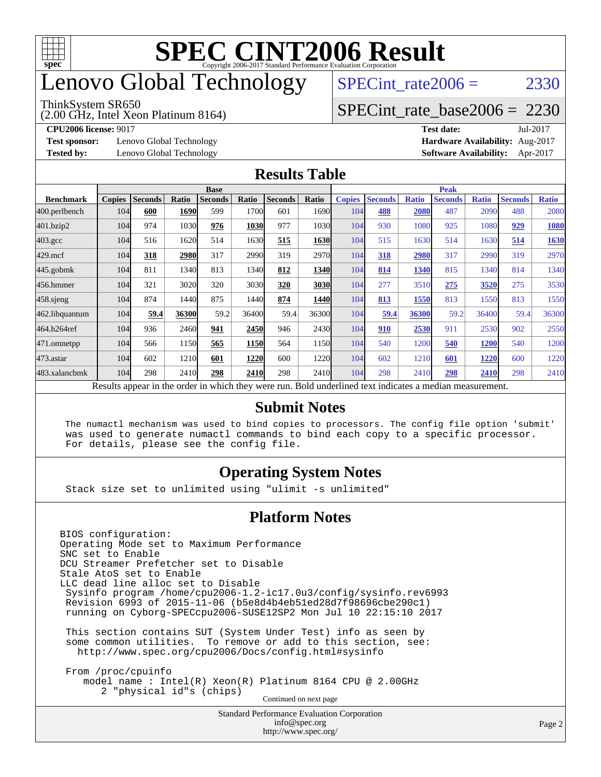

### enovo Global Technology

#### ThinkSystem SR650

SPECint rate $2006 = 2330$ 

# [SPECint\\_rate\\_base2006 =](http://www.spec.org/auto/cpu2006/Docs/result-fields.html#SPECintratebase2006) 2230

(2.00 GHz, Intel Xeon Platinum 8164)

**[Test sponsor:](http://www.spec.org/auto/cpu2006/Docs/result-fields.html#Testsponsor)** Lenovo Global Technology **[Hardware Availability:](http://www.spec.org/auto/cpu2006/Docs/result-fields.html#HardwareAvailability)** Aug-2017

**[CPU2006 license:](http://www.spec.org/auto/cpu2006/Docs/result-fields.html#CPU2006license)** 9017 **[Test date:](http://www.spec.org/auto/cpu2006/Docs/result-fields.html#Testdate)** Jul-2017 **[Tested by:](http://www.spec.org/auto/cpu2006/Docs/result-fields.html#Testedby)** Lenovo Global Technology **[Software Availability:](http://www.spec.org/auto/cpu2006/Docs/result-fields.html#SoftwareAvailability)** Apr-2017

#### **[Results Table](http://www.spec.org/auto/cpu2006/Docs/result-fields.html#ResultsTable)**

|                                                                                                          | <b>Base</b>   |                |       |                |       |                |             | <b>Peak</b>   |                |              |                |              |                |              |
|----------------------------------------------------------------------------------------------------------|---------------|----------------|-------|----------------|-------|----------------|-------------|---------------|----------------|--------------|----------------|--------------|----------------|--------------|
| <b>Benchmark</b>                                                                                         | <b>Copies</b> | <b>Seconds</b> | Ratio | <b>Seconds</b> | Ratio | <b>Seconds</b> | Ratio       | <b>Copies</b> | <b>Seconds</b> | <b>Ratio</b> | <b>Seconds</b> | <b>Ratio</b> | <b>Seconds</b> | <b>Ratio</b> |
| 400.perlbench                                                                                            | 104           | 600            | 1690  | 599            | 1700  | 601            | 1690        | 104           | 488            | 2080         | 487            | 2090         | 488            | 2080         |
| 401.bzip2                                                                                                | 104           | 974            | 1030  | 976            | 1030  | 977            | 1030        | 104           | 930            | 1080         | 925            | 1080         | 929            | 1080         |
| $403.\mathrm{gcc}$                                                                                       | 104           | 516            | 1620  | 514            | 1630  | 515            | 1630        | 104           | 515            | 1630         | 514            | 1630         | 514            | 1630         |
| $429$ .mcf                                                                                               | 104           | 318            | 2980  | 317            | 2990  | 319            | 2970        | 104           | 318            | 2980         | 317            | 2990         | 319            | 2970         |
| $445$ .gobmk                                                                                             | 104           | 811            | 1340  | 813            | 1340  | 812            | 1340        | 104           | 814            | 1340         | 815            | 1340         | 814            | 1340         |
| 456.hmmer                                                                                                | 104           | 321            | 3020  | 320            | 3030  | 320            | 3030        | 104           | 277            | 3510         | 275            | 3520         | 275            | 3530         |
| $458$ sjeng                                                                                              | 104           | 874            | 1440  | 875            | 1440  | 874            | <b>1440</b> | 104           | 813            | 1550         | 813            | 1550         | 813            | 1550         |
| 462.libquantum                                                                                           | 104           | 59.4           | 36300 | 59.2           | 36400 | 59.4           | 36300       | 104           | 59.4           | 36300        | 59.2           | 36400        | 59.4           | 36300        |
| 464.h264ref                                                                                              | 104           | 936            | 2460  | 941            | 2450  | 946            | 2430        | 104           | 910            | 2530         | 911            | 2530         | 902            | 2550         |
| 471.omnetpp                                                                                              | 104           | 566            | 1150  | 565            | 1150  | 564            | 1150        | 104           | 540            | 1200         | 540            | <b>1200</b>  | 540            | 1200         |
| $473.$ astar                                                                                             | 104           | 602            | 1210  | 601            | 1220  | 600            | 1220        | 104           | 602            | 1210         | 601            | 1220         | 600            | 1220         |
| 483.xalancbmk                                                                                            | 104           | 298            | 2410  | 298            | 2410  | 298            | 2410        | 104           | 298            | 2410         | 298            | 2410         | 298            | 2410         |
| Results appear in the order in which they were run. Bold underlined text indicates a median measurement. |               |                |       |                |       |                |             |               |                |              |                |              |                |              |

#### **[Submit Notes](http://www.spec.org/auto/cpu2006/Docs/result-fields.html#SubmitNotes)**

 The numactl mechanism was used to bind copies to processors. The config file option 'submit' was used to generate numactl commands to bind each copy to a specific processor. For details, please see the config file.

### **[Operating System Notes](http://www.spec.org/auto/cpu2006/Docs/result-fields.html#OperatingSystemNotes)**

Stack size set to unlimited using "ulimit -s unlimited"

### **[Platform Notes](http://www.spec.org/auto/cpu2006/Docs/result-fields.html#PlatformNotes)**

<http://www.spec.org/>

Standard Performance Evaluation Corporation [info@spec.org](mailto:info@spec.org) BIOS configuration: Operating Mode set to Maximum Performance SNC set to Enable DCU Streamer Prefetcher set to Disable Stale AtoS set to Enable LLC dead line alloc set to Disable Sysinfo program /home/cpu2006-1.2-ic17.0u3/config/sysinfo.rev6993 Revision 6993 of 2015-11-06 (b5e8d4b4eb51ed28d7f98696cbe290c1) running on Cyborg-SPECcpu2006-SUSE12SP2 Mon Jul 10 22:15:10 2017 This section contains SUT (System Under Test) info as seen by some common utilities. To remove or add to this section, see: <http://www.spec.org/cpu2006/Docs/config.html#sysinfo> From /proc/cpuinfo model name : Intel(R) Xeon(R) Platinum 8164 CPU @ 2.00GHz 2 "physical id"s (chips) Continued on next page

Page 2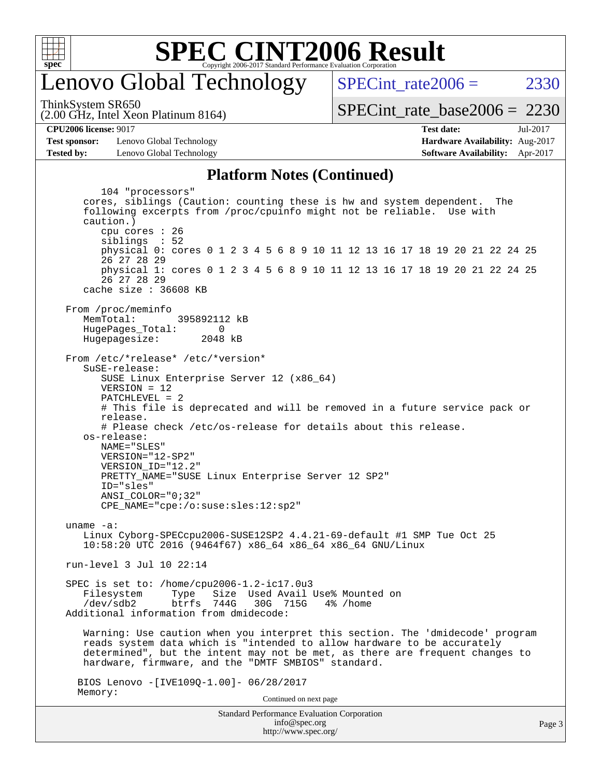

### enovo Global Technology

SPECint rate $2006 = 2330$ 

(2.00 GHz, Intel Xeon Platinum 8164) ThinkSystem SR650

[SPECint\\_rate\\_base2006 =](http://www.spec.org/auto/cpu2006/Docs/result-fields.html#SPECintratebase2006) 2230

**[CPU2006 license:](http://www.spec.org/auto/cpu2006/Docs/result-fields.html#CPU2006license)** 9017 **[Test date:](http://www.spec.org/auto/cpu2006/Docs/result-fields.html#Testdate)** Jul-2017

**[Test sponsor:](http://www.spec.org/auto/cpu2006/Docs/result-fields.html#Testsponsor)** Lenovo Global Technology **[Hardware Availability:](http://www.spec.org/auto/cpu2006/Docs/result-fields.html#HardwareAvailability)** Aug-2017 **[Tested by:](http://www.spec.org/auto/cpu2006/Docs/result-fields.html#Testedby)** Lenovo Global Technology **[Software Availability:](http://www.spec.org/auto/cpu2006/Docs/result-fields.html#SoftwareAvailability)** Apr-2017

# **[Platform Notes \(Continued\)](http://www.spec.org/auto/cpu2006/Docs/result-fields.html#PlatformNotes)**

Standard Performance Evaluation Corporation [info@spec.org](mailto:info@spec.org) <http://www.spec.org/> Page 3 104 "processors" cores, siblings (Caution: counting these is hw and system dependent. The following excerpts from /proc/cpuinfo might not be reliable. Use with caution.) cpu cores : 26 siblings : 52 physical 0: cores 0 1 2 3 4 5 6 8 9 10 11 12 13 16 17 18 19 20 21 22 24 25 26 27 28 29 physical 1: cores 0 1 2 3 4 5 6 8 9 10 11 12 13 16 17 18 19 20 21 22 24 25 26 27 28 29 cache size : 36608 KB From /proc/meminfo MemTotal: 395892112 kB HugePages\_Total: 0<br>Hugepagesize: 2048 kB Hugepagesize: From /etc/\*release\* /etc/\*version\* SuSE-release: SUSE Linux Enterprise Server 12 (x86\_64) VERSION = 12 PATCHLEVEL = 2 # This file is deprecated and will be removed in a future service pack or release. # Please check /etc/os-release for details about this release. os-release: NAME="SLES" VERSION="12-SP2" VERSION\_ID="12.2" PRETTY\_NAME="SUSE Linux Enterprise Server 12 SP2" ID="sles" ANSI\_COLOR="0;32" CPE\_NAME="cpe:/o:suse:sles:12:sp2" uname -a: Linux Cyborg-SPECcpu2006-SUSE12SP2 4.4.21-69-default #1 SMP Tue Oct 25 10:58:20 UTC 2016 (9464f67) x86\_64 x86\_64 x86\_64 GNU/Linux run-level 3 Jul 10 22:14 SPEC is set to: /home/cpu2006-1.2-ic17.0u3 Filesystem Type Size Used-Avail-Use%-Mounted-on-<br>  $\sqrt{\text{dev/sdb2}}$  btrfs 744G 30G 715G 4%-/home btrfs 744G 30G 715G 4% /home Additional information from dmidecode: Warning: Use caution when you interpret this section. The 'dmidecode' program reads system data which is "intended to allow hardware to be accurately determined", but the intent may not be met, as there are frequent changes to hardware, firmware, and the "DMTF SMBIOS" standard. BIOS Lenovo -[IVE109Q-1.00]- 06/28/2017 Memory: Continued on next page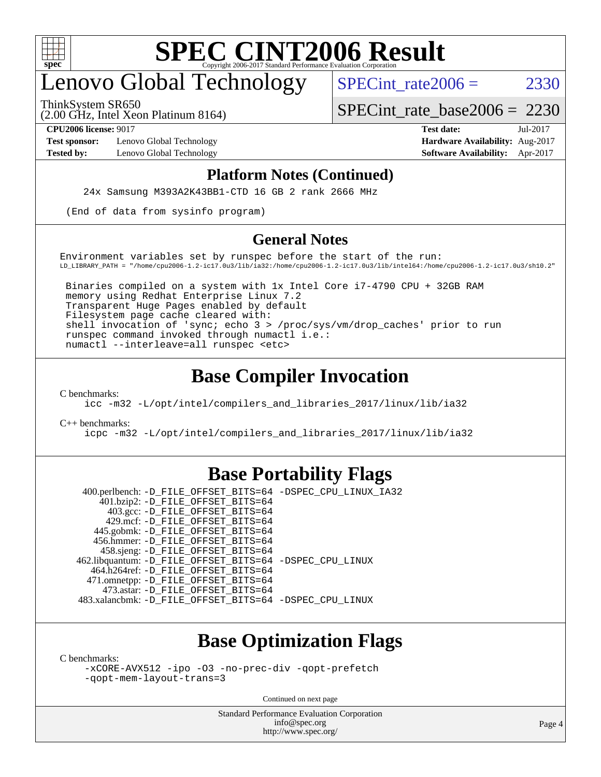

### enovo Global Technology

ThinkSystem SR650

SPECint rate  $2006 = 2330$ 

(2.00 GHz, Intel Xeon Platinum 8164)

[SPECint\\_rate\\_base2006 =](http://www.spec.org/auto/cpu2006/Docs/result-fields.html#SPECintratebase2006) 2230

**[Test sponsor:](http://www.spec.org/auto/cpu2006/Docs/result-fields.html#Testsponsor)** Lenovo Global Technology **[Hardware Availability:](http://www.spec.org/auto/cpu2006/Docs/result-fields.html#HardwareAvailability)** Aug-2017

**[CPU2006 license:](http://www.spec.org/auto/cpu2006/Docs/result-fields.html#CPU2006license)** 9017 **[Test date:](http://www.spec.org/auto/cpu2006/Docs/result-fields.html#Testdate)** Jul-2017 **[Tested by:](http://www.spec.org/auto/cpu2006/Docs/result-fields.html#Testedby)** Lenovo Global Technology **[Software Availability:](http://www.spec.org/auto/cpu2006/Docs/result-fields.html#SoftwareAvailability)** Apr-2017

#### **[Platform Notes \(Continued\)](http://www.spec.org/auto/cpu2006/Docs/result-fields.html#PlatformNotes)**

24x Samsung M393A2K43BB1-CTD 16 GB 2 rank 2666 MHz

(End of data from sysinfo program)

#### **[General Notes](http://www.spec.org/auto/cpu2006/Docs/result-fields.html#GeneralNotes)**

Environment variables set by runspec before the start of the run: LD\_LIBRARY\_PATH = "/home/cpu2006-1.2-ic17.0u3/lib/ia32:/home/cpu2006-1.2-ic17.0u3/lib/intel64:/home/cpu2006-1.2-ic17.0u3/sh10.2"

 Binaries compiled on a system with 1x Intel Core i7-4790 CPU + 32GB RAM memory using Redhat Enterprise Linux 7.2 Transparent Huge Pages enabled by default Filesystem page cache cleared with: shell invocation of 'sync; echo 3 > /proc/sys/vm/drop\_caches' prior to run runspec command invoked through numactl i.e.: numactl --interleave=all runspec <etc>

### **[Base Compiler Invocation](http://www.spec.org/auto/cpu2006/Docs/result-fields.html#BaseCompilerInvocation)**

[C benchmarks](http://www.spec.org/auto/cpu2006/Docs/result-fields.html#Cbenchmarks):

[icc -m32 -L/opt/intel/compilers\\_and\\_libraries\\_2017/linux/lib/ia32](http://www.spec.org/cpu2006/results/res2017q4/cpu2006-20170918-49789.flags.html#user_CCbase_intel_icc_c29f3ff5a7ed067b11e4ec10a03f03ae)

[C++ benchmarks:](http://www.spec.org/auto/cpu2006/Docs/result-fields.html#CXXbenchmarks)

[icpc -m32 -L/opt/intel/compilers\\_and\\_libraries\\_2017/linux/lib/ia32](http://www.spec.org/cpu2006/results/res2017q4/cpu2006-20170918-49789.flags.html#user_CXXbase_intel_icpc_8c35c7808b62dab9ae41a1aa06361b6b)

### **[Base Portability Flags](http://www.spec.org/auto/cpu2006/Docs/result-fields.html#BasePortabilityFlags)**

 400.perlbench: [-D\\_FILE\\_OFFSET\\_BITS=64](http://www.spec.org/cpu2006/results/res2017q4/cpu2006-20170918-49789.flags.html#user_basePORTABILITY400_perlbench_file_offset_bits_64_438cf9856305ebd76870a2c6dc2689ab) [-DSPEC\\_CPU\\_LINUX\\_IA32](http://www.spec.org/cpu2006/results/res2017q4/cpu2006-20170918-49789.flags.html#b400.perlbench_baseCPORTABILITY_DSPEC_CPU_LINUX_IA32) 401.bzip2: [-D\\_FILE\\_OFFSET\\_BITS=64](http://www.spec.org/cpu2006/results/res2017q4/cpu2006-20170918-49789.flags.html#user_basePORTABILITY401_bzip2_file_offset_bits_64_438cf9856305ebd76870a2c6dc2689ab) 403.gcc: [-D\\_FILE\\_OFFSET\\_BITS=64](http://www.spec.org/cpu2006/results/res2017q4/cpu2006-20170918-49789.flags.html#user_basePORTABILITY403_gcc_file_offset_bits_64_438cf9856305ebd76870a2c6dc2689ab) 429.mcf: [-D\\_FILE\\_OFFSET\\_BITS=64](http://www.spec.org/cpu2006/results/res2017q4/cpu2006-20170918-49789.flags.html#user_basePORTABILITY429_mcf_file_offset_bits_64_438cf9856305ebd76870a2c6dc2689ab) 445.gobmk: [-D\\_FILE\\_OFFSET\\_BITS=64](http://www.spec.org/cpu2006/results/res2017q4/cpu2006-20170918-49789.flags.html#user_basePORTABILITY445_gobmk_file_offset_bits_64_438cf9856305ebd76870a2c6dc2689ab) 456.hmmer: [-D\\_FILE\\_OFFSET\\_BITS=64](http://www.spec.org/cpu2006/results/res2017q4/cpu2006-20170918-49789.flags.html#user_basePORTABILITY456_hmmer_file_offset_bits_64_438cf9856305ebd76870a2c6dc2689ab) 458.sjeng: [-D\\_FILE\\_OFFSET\\_BITS=64](http://www.spec.org/cpu2006/results/res2017q4/cpu2006-20170918-49789.flags.html#user_basePORTABILITY458_sjeng_file_offset_bits_64_438cf9856305ebd76870a2c6dc2689ab) 462.libquantum: [-D\\_FILE\\_OFFSET\\_BITS=64](http://www.spec.org/cpu2006/results/res2017q4/cpu2006-20170918-49789.flags.html#user_basePORTABILITY462_libquantum_file_offset_bits_64_438cf9856305ebd76870a2c6dc2689ab) [-DSPEC\\_CPU\\_LINUX](http://www.spec.org/cpu2006/results/res2017q4/cpu2006-20170918-49789.flags.html#b462.libquantum_baseCPORTABILITY_DSPEC_CPU_LINUX) 464.h264ref: [-D\\_FILE\\_OFFSET\\_BITS=64](http://www.spec.org/cpu2006/results/res2017q4/cpu2006-20170918-49789.flags.html#user_basePORTABILITY464_h264ref_file_offset_bits_64_438cf9856305ebd76870a2c6dc2689ab) 471.omnetpp: [-D\\_FILE\\_OFFSET\\_BITS=64](http://www.spec.org/cpu2006/results/res2017q4/cpu2006-20170918-49789.flags.html#user_basePORTABILITY471_omnetpp_file_offset_bits_64_438cf9856305ebd76870a2c6dc2689ab) 473.astar: [-D\\_FILE\\_OFFSET\\_BITS=64](http://www.spec.org/cpu2006/results/res2017q4/cpu2006-20170918-49789.flags.html#user_basePORTABILITY473_astar_file_offset_bits_64_438cf9856305ebd76870a2c6dc2689ab) 483.xalancbmk: [-D\\_FILE\\_OFFSET\\_BITS=64](http://www.spec.org/cpu2006/results/res2017q4/cpu2006-20170918-49789.flags.html#user_basePORTABILITY483_xalancbmk_file_offset_bits_64_438cf9856305ebd76870a2c6dc2689ab) [-DSPEC\\_CPU\\_LINUX](http://www.spec.org/cpu2006/results/res2017q4/cpu2006-20170918-49789.flags.html#b483.xalancbmk_baseCXXPORTABILITY_DSPEC_CPU_LINUX)

### **[Base Optimization Flags](http://www.spec.org/auto/cpu2006/Docs/result-fields.html#BaseOptimizationFlags)**

[C benchmarks](http://www.spec.org/auto/cpu2006/Docs/result-fields.html#Cbenchmarks):

[-xCORE-AVX512](http://www.spec.org/cpu2006/results/res2017q4/cpu2006-20170918-49789.flags.html#user_CCbase_f-xCORE-AVX512) [-ipo](http://www.spec.org/cpu2006/results/res2017q4/cpu2006-20170918-49789.flags.html#user_CCbase_f-ipo) [-O3](http://www.spec.org/cpu2006/results/res2017q4/cpu2006-20170918-49789.flags.html#user_CCbase_f-O3) [-no-prec-div](http://www.spec.org/cpu2006/results/res2017q4/cpu2006-20170918-49789.flags.html#user_CCbase_f-no-prec-div) [-qopt-prefetch](http://www.spec.org/cpu2006/results/res2017q4/cpu2006-20170918-49789.flags.html#user_CCbase_f-qopt-prefetch) [-qopt-mem-layout-trans=3](http://www.spec.org/cpu2006/results/res2017q4/cpu2006-20170918-49789.flags.html#user_CCbase_f-qopt-mem-layout-trans_170f5be61cd2cedc9b54468c59262d5d)

Continued on next page

Standard Performance Evaluation Corporation [info@spec.org](mailto:info@spec.org) <http://www.spec.org/>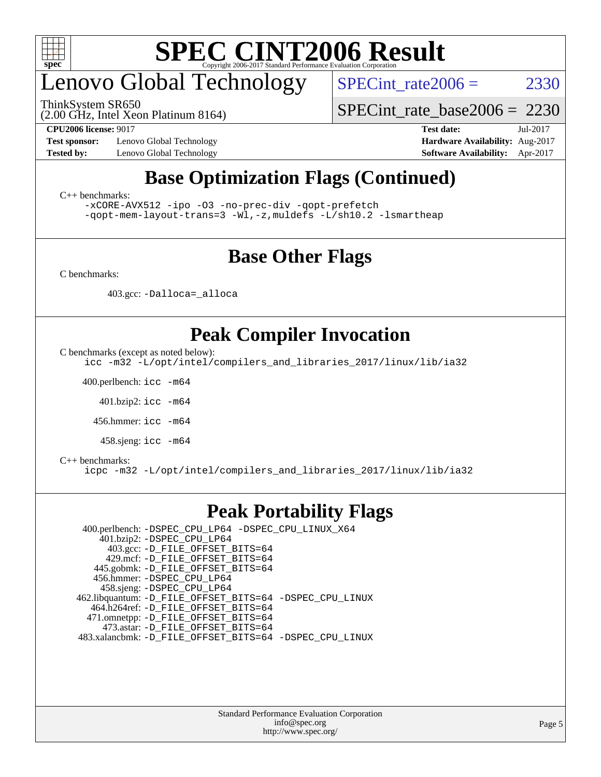

### enovo Global Technology

ThinkSystem SR650

SPECint rate  $2006 = 2330$ 

[SPECint\\_rate\\_base2006 =](http://www.spec.org/auto/cpu2006/Docs/result-fields.html#SPECintratebase2006) 2230

(2.00 GHz, Intel Xeon Platinum 8164)

**[CPU2006 license:](http://www.spec.org/auto/cpu2006/Docs/result-fields.html#CPU2006license)** 9017 **[Test date:](http://www.spec.org/auto/cpu2006/Docs/result-fields.html#Testdate)** Jul-2017 **[Test sponsor:](http://www.spec.org/auto/cpu2006/Docs/result-fields.html#Testsponsor)** Lenovo Global Technology **[Hardware Availability:](http://www.spec.org/auto/cpu2006/Docs/result-fields.html#HardwareAvailability)** Aug-2017 **[Tested by:](http://www.spec.org/auto/cpu2006/Docs/result-fields.html#Testedby)** Lenovo Global Technology **[Software Availability:](http://www.spec.org/auto/cpu2006/Docs/result-fields.html#SoftwareAvailability)** Apr-2017

### **[Base Optimization Flags \(Continued\)](http://www.spec.org/auto/cpu2006/Docs/result-fields.html#BaseOptimizationFlags)**

[C++ benchmarks:](http://www.spec.org/auto/cpu2006/Docs/result-fields.html#CXXbenchmarks)

[-xCORE-AVX512](http://www.spec.org/cpu2006/results/res2017q4/cpu2006-20170918-49789.flags.html#user_CXXbase_f-xCORE-AVX512) [-ipo](http://www.spec.org/cpu2006/results/res2017q4/cpu2006-20170918-49789.flags.html#user_CXXbase_f-ipo) [-O3](http://www.spec.org/cpu2006/results/res2017q4/cpu2006-20170918-49789.flags.html#user_CXXbase_f-O3) [-no-prec-div](http://www.spec.org/cpu2006/results/res2017q4/cpu2006-20170918-49789.flags.html#user_CXXbase_f-no-prec-div) [-qopt-prefetch](http://www.spec.org/cpu2006/results/res2017q4/cpu2006-20170918-49789.flags.html#user_CXXbase_f-qopt-prefetch) [-qopt-mem-layout-trans=3](http://www.spec.org/cpu2006/results/res2017q4/cpu2006-20170918-49789.flags.html#user_CXXbase_f-qopt-mem-layout-trans_170f5be61cd2cedc9b54468c59262d5d) [-Wl,-z,muldefs](http://www.spec.org/cpu2006/results/res2017q4/cpu2006-20170918-49789.flags.html#user_CXXbase_link_force_multiple1_74079c344b956b9658436fd1b6dd3a8a) [-L/sh10.2 -lsmartheap](http://www.spec.org/cpu2006/results/res2017q4/cpu2006-20170918-49789.flags.html#user_CXXbase_SmartHeap_b831f2d313e2fffa6dfe3f00ffc1f1c0)

### **[Base Other Flags](http://www.spec.org/auto/cpu2006/Docs/result-fields.html#BaseOtherFlags)**

[C benchmarks](http://www.spec.org/auto/cpu2006/Docs/result-fields.html#Cbenchmarks):

403.gcc: [-Dalloca=\\_alloca](http://www.spec.org/cpu2006/results/res2017q4/cpu2006-20170918-49789.flags.html#b403.gcc_baseEXTRA_CFLAGS_Dalloca_be3056838c12de2578596ca5467af7f3)

### **[Peak Compiler Invocation](http://www.spec.org/auto/cpu2006/Docs/result-fields.html#PeakCompilerInvocation)**

[C benchmarks \(except as noted below\)](http://www.spec.org/auto/cpu2006/Docs/result-fields.html#Cbenchmarksexceptasnotedbelow):

[icc -m32 -L/opt/intel/compilers\\_and\\_libraries\\_2017/linux/lib/ia32](http://www.spec.org/cpu2006/results/res2017q4/cpu2006-20170918-49789.flags.html#user_CCpeak_intel_icc_c29f3ff5a7ed067b11e4ec10a03f03ae)

400.perlbench: [icc -m64](http://www.spec.org/cpu2006/results/res2017q4/cpu2006-20170918-49789.flags.html#user_peakCCLD400_perlbench_intel_icc_64bit_bda6cc9af1fdbb0edc3795bac97ada53)

401.bzip2: [icc -m64](http://www.spec.org/cpu2006/results/res2017q4/cpu2006-20170918-49789.flags.html#user_peakCCLD401_bzip2_intel_icc_64bit_bda6cc9af1fdbb0edc3795bac97ada53)

456.hmmer: [icc -m64](http://www.spec.org/cpu2006/results/res2017q4/cpu2006-20170918-49789.flags.html#user_peakCCLD456_hmmer_intel_icc_64bit_bda6cc9af1fdbb0edc3795bac97ada53)

458.sjeng: [icc -m64](http://www.spec.org/cpu2006/results/res2017q4/cpu2006-20170918-49789.flags.html#user_peakCCLD458_sjeng_intel_icc_64bit_bda6cc9af1fdbb0edc3795bac97ada53)

#### [C++ benchmarks:](http://www.spec.org/auto/cpu2006/Docs/result-fields.html#CXXbenchmarks)

[icpc -m32 -L/opt/intel/compilers\\_and\\_libraries\\_2017/linux/lib/ia32](http://www.spec.org/cpu2006/results/res2017q4/cpu2006-20170918-49789.flags.html#user_CXXpeak_intel_icpc_8c35c7808b62dab9ae41a1aa06361b6b)

### **[Peak Portability Flags](http://www.spec.org/auto/cpu2006/Docs/result-fields.html#PeakPortabilityFlags)**

 400.perlbench: [-DSPEC\\_CPU\\_LP64](http://www.spec.org/cpu2006/results/res2017q4/cpu2006-20170918-49789.flags.html#b400.perlbench_peakCPORTABILITY_DSPEC_CPU_LP64) [-DSPEC\\_CPU\\_LINUX\\_X64](http://www.spec.org/cpu2006/results/res2017q4/cpu2006-20170918-49789.flags.html#b400.perlbench_peakCPORTABILITY_DSPEC_CPU_LINUX_X64) 401.bzip2: [-DSPEC\\_CPU\\_LP64](http://www.spec.org/cpu2006/results/res2017q4/cpu2006-20170918-49789.flags.html#suite_peakCPORTABILITY401_bzip2_DSPEC_CPU_LP64) 403.gcc: [-D\\_FILE\\_OFFSET\\_BITS=64](http://www.spec.org/cpu2006/results/res2017q4/cpu2006-20170918-49789.flags.html#user_peakPORTABILITY403_gcc_file_offset_bits_64_438cf9856305ebd76870a2c6dc2689ab) 429.mcf: [-D\\_FILE\\_OFFSET\\_BITS=64](http://www.spec.org/cpu2006/results/res2017q4/cpu2006-20170918-49789.flags.html#user_peakPORTABILITY429_mcf_file_offset_bits_64_438cf9856305ebd76870a2c6dc2689ab) 445.gobmk: [-D\\_FILE\\_OFFSET\\_BITS=64](http://www.spec.org/cpu2006/results/res2017q4/cpu2006-20170918-49789.flags.html#user_peakPORTABILITY445_gobmk_file_offset_bits_64_438cf9856305ebd76870a2c6dc2689ab) 456.hmmer: [-DSPEC\\_CPU\\_LP64](http://www.spec.org/cpu2006/results/res2017q4/cpu2006-20170918-49789.flags.html#suite_peakCPORTABILITY456_hmmer_DSPEC_CPU_LP64) 458.sjeng: [-DSPEC\\_CPU\\_LP64](http://www.spec.org/cpu2006/results/res2017q4/cpu2006-20170918-49789.flags.html#suite_peakCPORTABILITY458_sjeng_DSPEC_CPU_LP64) 462.libquantum: [-D\\_FILE\\_OFFSET\\_BITS=64](http://www.spec.org/cpu2006/results/res2017q4/cpu2006-20170918-49789.flags.html#user_peakPORTABILITY462_libquantum_file_offset_bits_64_438cf9856305ebd76870a2c6dc2689ab) [-DSPEC\\_CPU\\_LINUX](http://www.spec.org/cpu2006/results/res2017q4/cpu2006-20170918-49789.flags.html#b462.libquantum_peakCPORTABILITY_DSPEC_CPU_LINUX) 464.h264ref: [-D\\_FILE\\_OFFSET\\_BITS=64](http://www.spec.org/cpu2006/results/res2017q4/cpu2006-20170918-49789.flags.html#user_peakPORTABILITY464_h264ref_file_offset_bits_64_438cf9856305ebd76870a2c6dc2689ab) 471.omnetpp: [-D\\_FILE\\_OFFSET\\_BITS=64](http://www.spec.org/cpu2006/results/res2017q4/cpu2006-20170918-49789.flags.html#user_peakPORTABILITY471_omnetpp_file_offset_bits_64_438cf9856305ebd76870a2c6dc2689ab) 473.astar: [-D\\_FILE\\_OFFSET\\_BITS=64](http://www.spec.org/cpu2006/results/res2017q4/cpu2006-20170918-49789.flags.html#user_peakPORTABILITY473_astar_file_offset_bits_64_438cf9856305ebd76870a2c6dc2689ab) 483.xalancbmk: [-D\\_FILE\\_OFFSET\\_BITS=64](http://www.spec.org/cpu2006/results/res2017q4/cpu2006-20170918-49789.flags.html#user_peakPORTABILITY483_xalancbmk_file_offset_bits_64_438cf9856305ebd76870a2c6dc2689ab) [-DSPEC\\_CPU\\_LINUX](http://www.spec.org/cpu2006/results/res2017q4/cpu2006-20170918-49789.flags.html#b483.xalancbmk_peakCXXPORTABILITY_DSPEC_CPU_LINUX)

> Standard Performance Evaluation Corporation [info@spec.org](mailto:info@spec.org) <http://www.spec.org/>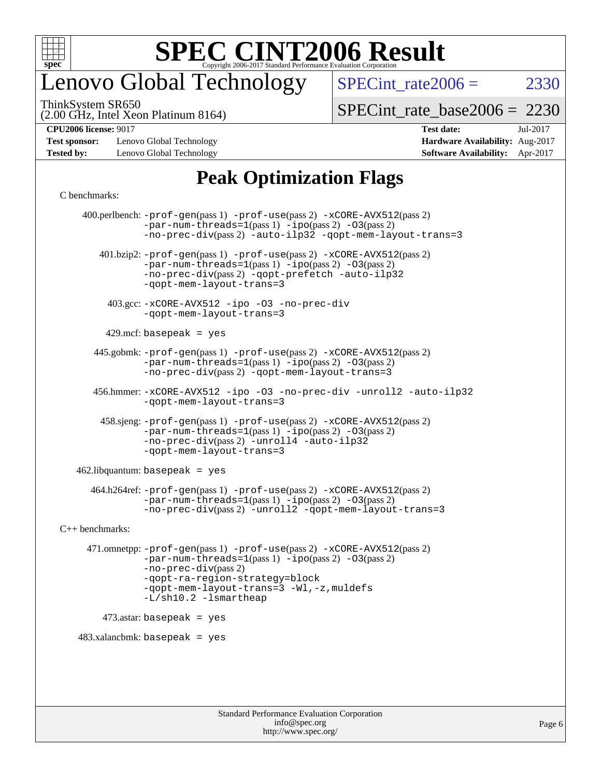

### enovo Global Technology

SPECint rate  $2006 = 2330$ 

(2.00 GHz, Intel Xeon Platinum 8164) ThinkSystem SR650

[SPECint\\_rate\\_base2006 =](http://www.spec.org/auto/cpu2006/Docs/result-fields.html#SPECintratebase2006) 2230

**[Test sponsor:](http://www.spec.org/auto/cpu2006/Docs/result-fields.html#Testsponsor)** Lenovo Global Technology **[Hardware Availability:](http://www.spec.org/auto/cpu2006/Docs/result-fields.html#HardwareAvailability)** Aug-2017 **[Tested by:](http://www.spec.org/auto/cpu2006/Docs/result-fields.html#Testedby)** Lenovo Global Technology **[Software Availability:](http://www.spec.org/auto/cpu2006/Docs/result-fields.html#SoftwareAvailability)** Apr-2017

# **[CPU2006 license:](http://www.spec.org/auto/cpu2006/Docs/result-fields.html#CPU2006license)** 9017 **[Test date:](http://www.spec.org/auto/cpu2006/Docs/result-fields.html#Testdate)** Jul-2017

### **[Peak Optimization Flags](http://www.spec.org/auto/cpu2006/Docs/result-fields.html#PeakOptimizationFlags)**

#### [C benchmarks](http://www.spec.org/auto/cpu2006/Docs/result-fields.html#Cbenchmarks):

 400.perlbench: [-prof-gen](http://www.spec.org/cpu2006/results/res2017q4/cpu2006-20170918-49789.flags.html#user_peakPASS1_CFLAGSPASS1_LDCFLAGS400_perlbench_prof_gen_e43856698f6ca7b7e442dfd80e94a8fc)(pass 1) [-prof-use](http://www.spec.org/cpu2006/results/res2017q4/cpu2006-20170918-49789.flags.html#user_peakPASS2_CFLAGSPASS2_LDCFLAGS400_perlbench_prof_use_bccf7792157ff70d64e32fe3e1250b55)(pass 2) [-xCORE-AVX512](http://www.spec.org/cpu2006/results/res2017q4/cpu2006-20170918-49789.flags.html#user_peakPASS2_CFLAGSPASS2_LDCFLAGS400_perlbench_f-xCORE-AVX512)(pass 2)  $-par-num-threads=1(pass 1) -ipo(pass 2) -O3(pass 2)$  $-par-num-threads=1(pass 1) -ipo(pass 2) -O3(pass 2)$  $-par-num-threads=1(pass 1) -ipo(pass 2) -O3(pass 2)$  $-par-num-threads=1(pass 1) -ipo(pass 2) -O3(pass 2)$  $-par-num-threads=1(pass 1) -ipo(pass 2) -O3(pass 2)$  $-par-num-threads=1(pass 1) -ipo(pass 2) -O3(pass 2)$ [-no-prec-div](http://www.spec.org/cpu2006/results/res2017q4/cpu2006-20170918-49789.flags.html#user_peakPASS2_CFLAGSPASS2_LDCFLAGS400_perlbench_f-no-prec-div)(pass 2) [-auto-ilp32](http://www.spec.org/cpu2006/results/res2017q4/cpu2006-20170918-49789.flags.html#user_peakCOPTIMIZE400_perlbench_f-auto-ilp32) [-qopt-mem-layout-trans=3](http://www.spec.org/cpu2006/results/res2017q4/cpu2006-20170918-49789.flags.html#user_peakCOPTIMIZE400_perlbench_f-qopt-mem-layout-trans_170f5be61cd2cedc9b54468c59262d5d) 401.bzip2: [-prof-gen](http://www.spec.org/cpu2006/results/res2017q4/cpu2006-20170918-49789.flags.html#user_peakPASS1_CFLAGSPASS1_LDCFLAGS401_bzip2_prof_gen_e43856698f6ca7b7e442dfd80e94a8fc)(pass 1) [-prof-use](http://www.spec.org/cpu2006/results/res2017q4/cpu2006-20170918-49789.flags.html#user_peakPASS2_CFLAGSPASS2_LDCFLAGS401_bzip2_prof_use_bccf7792157ff70d64e32fe3e1250b55)(pass 2) [-xCORE-AVX512](http://www.spec.org/cpu2006/results/res2017q4/cpu2006-20170918-49789.flags.html#user_peakPASS2_CFLAGSPASS2_LDCFLAGS401_bzip2_f-xCORE-AVX512)(pass 2) [-par-num-threads=1](http://www.spec.org/cpu2006/results/res2017q4/cpu2006-20170918-49789.flags.html#user_peakPASS1_CFLAGSPASS1_LDCFLAGS401_bzip2_par_num_threads_786a6ff141b4e9e90432e998842df6c2)(pass 1) [-ipo](http://www.spec.org/cpu2006/results/res2017q4/cpu2006-20170918-49789.flags.html#user_peakPASS2_CFLAGSPASS2_LDCFLAGS401_bzip2_f-ipo)(pass 2) [-O3](http://www.spec.org/cpu2006/results/res2017q4/cpu2006-20170918-49789.flags.html#user_peakPASS2_CFLAGSPASS2_LDCFLAGS401_bzip2_f-O3)(pass 2) [-no-prec-div](http://www.spec.org/cpu2006/results/res2017q4/cpu2006-20170918-49789.flags.html#user_peakPASS2_CFLAGSPASS2_LDCFLAGS401_bzip2_f-no-prec-div)(pass 2) [-qopt-prefetch](http://www.spec.org/cpu2006/results/res2017q4/cpu2006-20170918-49789.flags.html#user_peakCOPTIMIZE401_bzip2_f-qopt-prefetch) [-auto-ilp32](http://www.spec.org/cpu2006/results/res2017q4/cpu2006-20170918-49789.flags.html#user_peakCOPTIMIZE401_bzip2_f-auto-ilp32) [-qopt-mem-layout-trans=3](http://www.spec.org/cpu2006/results/res2017q4/cpu2006-20170918-49789.flags.html#user_peakCOPTIMIZE401_bzip2_f-qopt-mem-layout-trans_170f5be61cd2cedc9b54468c59262d5d) 403.gcc: [-xCORE-AVX512](http://www.spec.org/cpu2006/results/res2017q4/cpu2006-20170918-49789.flags.html#user_peakOPTIMIZE403_gcc_f-xCORE-AVX512) [-ipo](http://www.spec.org/cpu2006/results/res2017q4/cpu2006-20170918-49789.flags.html#user_peakOPTIMIZE403_gcc_f-ipo) [-O3](http://www.spec.org/cpu2006/results/res2017q4/cpu2006-20170918-49789.flags.html#user_peakOPTIMIZE403_gcc_f-O3) [-no-prec-div](http://www.spec.org/cpu2006/results/res2017q4/cpu2006-20170918-49789.flags.html#user_peakOPTIMIZE403_gcc_f-no-prec-div) [-qopt-mem-layout-trans=3](http://www.spec.org/cpu2006/results/res2017q4/cpu2006-20170918-49789.flags.html#user_peakCOPTIMIZE403_gcc_f-qopt-mem-layout-trans_170f5be61cd2cedc9b54468c59262d5d)  $429$ .mcf: basepeak = yes 445.gobmk: [-prof-gen](http://www.spec.org/cpu2006/results/res2017q4/cpu2006-20170918-49789.flags.html#user_peakPASS1_CFLAGSPASS1_LDCFLAGS445_gobmk_prof_gen_e43856698f6ca7b7e442dfd80e94a8fc)(pass 1) [-prof-use](http://www.spec.org/cpu2006/results/res2017q4/cpu2006-20170918-49789.flags.html#user_peakPASS2_CFLAGSPASS2_LDCFLAGSPASS2_LDFLAGS445_gobmk_prof_use_bccf7792157ff70d64e32fe3e1250b55)(pass 2) [-xCORE-AVX512](http://www.spec.org/cpu2006/results/res2017q4/cpu2006-20170918-49789.flags.html#user_peakPASS2_CFLAGSPASS2_LDCFLAGSPASS2_LDFLAGS445_gobmk_f-xCORE-AVX512)(pass 2) [-par-num-threads=1](http://www.spec.org/cpu2006/results/res2017q4/cpu2006-20170918-49789.flags.html#user_peakPASS1_CFLAGSPASS1_LDCFLAGS445_gobmk_par_num_threads_786a6ff141b4e9e90432e998842df6c2)(pass 1) [-ipo](http://www.spec.org/cpu2006/results/res2017q4/cpu2006-20170918-49789.flags.html#user_peakPASS2_LDCFLAGS445_gobmk_f-ipo)(pass 2) [-O3](http://www.spec.org/cpu2006/results/res2017q4/cpu2006-20170918-49789.flags.html#user_peakPASS2_LDCFLAGS445_gobmk_f-O3)(pass 2) [-no-prec-div](http://www.spec.org/cpu2006/results/res2017q4/cpu2006-20170918-49789.flags.html#user_peakPASS2_LDCFLAGS445_gobmk_f-no-prec-div)(pass 2) [-qopt-mem-layout-trans=3](http://www.spec.org/cpu2006/results/res2017q4/cpu2006-20170918-49789.flags.html#user_peakCOPTIMIZE445_gobmk_f-qopt-mem-layout-trans_170f5be61cd2cedc9b54468c59262d5d) 456.hmmer: [-xCORE-AVX512](http://www.spec.org/cpu2006/results/res2017q4/cpu2006-20170918-49789.flags.html#user_peakOPTIMIZE456_hmmer_f-xCORE-AVX512) [-ipo](http://www.spec.org/cpu2006/results/res2017q4/cpu2006-20170918-49789.flags.html#user_peakOPTIMIZE456_hmmer_f-ipo) [-O3](http://www.spec.org/cpu2006/results/res2017q4/cpu2006-20170918-49789.flags.html#user_peakOPTIMIZE456_hmmer_f-O3) [-no-prec-div](http://www.spec.org/cpu2006/results/res2017q4/cpu2006-20170918-49789.flags.html#user_peakOPTIMIZE456_hmmer_f-no-prec-div) [-unroll2](http://www.spec.org/cpu2006/results/res2017q4/cpu2006-20170918-49789.flags.html#user_peakCOPTIMIZE456_hmmer_f-unroll_784dae83bebfb236979b41d2422d7ec2) [-auto-ilp32](http://www.spec.org/cpu2006/results/res2017q4/cpu2006-20170918-49789.flags.html#user_peakCOPTIMIZE456_hmmer_f-auto-ilp32) [-qopt-mem-layout-trans=3](http://www.spec.org/cpu2006/results/res2017q4/cpu2006-20170918-49789.flags.html#user_peakCOPTIMIZE456_hmmer_f-qopt-mem-layout-trans_170f5be61cd2cedc9b54468c59262d5d) 458.sjeng: [-prof-gen](http://www.spec.org/cpu2006/results/res2017q4/cpu2006-20170918-49789.flags.html#user_peakPASS1_CFLAGSPASS1_LDCFLAGS458_sjeng_prof_gen_e43856698f6ca7b7e442dfd80e94a8fc)(pass 1) [-prof-use](http://www.spec.org/cpu2006/results/res2017q4/cpu2006-20170918-49789.flags.html#user_peakPASS2_CFLAGSPASS2_LDCFLAGS458_sjeng_prof_use_bccf7792157ff70d64e32fe3e1250b55)(pass 2) [-xCORE-AVX512](http://www.spec.org/cpu2006/results/res2017q4/cpu2006-20170918-49789.flags.html#user_peakPASS2_CFLAGSPASS2_LDCFLAGS458_sjeng_f-xCORE-AVX512)(pass 2) [-par-num-threads=1](http://www.spec.org/cpu2006/results/res2017q4/cpu2006-20170918-49789.flags.html#user_peakPASS1_CFLAGSPASS1_LDCFLAGS458_sjeng_par_num_threads_786a6ff141b4e9e90432e998842df6c2)(pass 1) [-ipo](http://www.spec.org/cpu2006/results/res2017q4/cpu2006-20170918-49789.flags.html#user_peakPASS2_CFLAGSPASS2_LDCFLAGS458_sjeng_f-ipo)(pass 2) [-O3](http://www.spec.org/cpu2006/results/res2017q4/cpu2006-20170918-49789.flags.html#user_peakPASS2_CFLAGSPASS2_LDCFLAGS458_sjeng_f-O3)(pass 2) [-no-prec-div](http://www.spec.org/cpu2006/results/res2017q4/cpu2006-20170918-49789.flags.html#user_peakPASS2_CFLAGSPASS2_LDCFLAGS458_sjeng_f-no-prec-div)(pass 2) [-unroll4](http://www.spec.org/cpu2006/results/res2017q4/cpu2006-20170918-49789.flags.html#user_peakCOPTIMIZE458_sjeng_f-unroll_4e5e4ed65b7fd20bdcd365bec371b81f) [-auto-ilp32](http://www.spec.org/cpu2006/results/res2017q4/cpu2006-20170918-49789.flags.html#user_peakCOPTIMIZE458_sjeng_f-auto-ilp32) [-qopt-mem-layout-trans=3](http://www.spec.org/cpu2006/results/res2017q4/cpu2006-20170918-49789.flags.html#user_peakCOPTIMIZE458_sjeng_f-qopt-mem-layout-trans_170f5be61cd2cedc9b54468c59262d5d)  $462$ .libquantum: basepeak = yes 464.h264ref: [-prof-gen](http://www.spec.org/cpu2006/results/res2017q4/cpu2006-20170918-49789.flags.html#user_peakPASS1_CFLAGSPASS1_LDCFLAGS464_h264ref_prof_gen_e43856698f6ca7b7e442dfd80e94a8fc)(pass 1) [-prof-use](http://www.spec.org/cpu2006/results/res2017q4/cpu2006-20170918-49789.flags.html#user_peakPASS2_CFLAGSPASS2_LDCFLAGS464_h264ref_prof_use_bccf7792157ff70d64e32fe3e1250b55)(pass 2) [-xCORE-AVX512](http://www.spec.org/cpu2006/results/res2017q4/cpu2006-20170918-49789.flags.html#user_peakPASS2_CFLAGSPASS2_LDCFLAGS464_h264ref_f-xCORE-AVX512)(pass 2) [-par-num-threads=1](http://www.spec.org/cpu2006/results/res2017q4/cpu2006-20170918-49789.flags.html#user_peakPASS1_CFLAGSPASS1_LDCFLAGS464_h264ref_par_num_threads_786a6ff141b4e9e90432e998842df6c2)(pass 1) [-ipo](http://www.spec.org/cpu2006/results/res2017q4/cpu2006-20170918-49789.flags.html#user_peakPASS2_CFLAGSPASS2_LDCFLAGS464_h264ref_f-ipo)(pass 2) [-O3](http://www.spec.org/cpu2006/results/res2017q4/cpu2006-20170918-49789.flags.html#user_peakPASS2_CFLAGSPASS2_LDCFLAGS464_h264ref_f-O3)(pass 2) [-no-prec-div](http://www.spec.org/cpu2006/results/res2017q4/cpu2006-20170918-49789.flags.html#user_peakPASS2_CFLAGSPASS2_LDCFLAGS464_h264ref_f-no-prec-div)(pass 2) [-unroll2](http://www.spec.org/cpu2006/results/res2017q4/cpu2006-20170918-49789.flags.html#user_peakCOPTIMIZE464_h264ref_f-unroll_784dae83bebfb236979b41d2422d7ec2) [-qopt-mem-layout-trans=3](http://www.spec.org/cpu2006/results/res2017q4/cpu2006-20170918-49789.flags.html#user_peakCOPTIMIZE464_h264ref_f-qopt-mem-layout-trans_170f5be61cd2cedc9b54468c59262d5d) [C++ benchmarks:](http://www.spec.org/auto/cpu2006/Docs/result-fields.html#CXXbenchmarks) 471.omnetpp: [-prof-gen](http://www.spec.org/cpu2006/results/res2017q4/cpu2006-20170918-49789.flags.html#user_peakPASS1_CXXFLAGSPASS1_LDCXXFLAGS471_omnetpp_prof_gen_e43856698f6ca7b7e442dfd80e94a8fc)(pass 1) [-prof-use](http://www.spec.org/cpu2006/results/res2017q4/cpu2006-20170918-49789.flags.html#user_peakPASS2_CXXFLAGSPASS2_LDCXXFLAGS471_omnetpp_prof_use_bccf7792157ff70d64e32fe3e1250b55)(pass 2) [-xCORE-AVX512](http://www.spec.org/cpu2006/results/res2017q4/cpu2006-20170918-49789.flags.html#user_peakPASS2_CXXFLAGSPASS2_LDCXXFLAGS471_omnetpp_f-xCORE-AVX512)(pass 2) [-par-num-threads=1](http://www.spec.org/cpu2006/results/res2017q4/cpu2006-20170918-49789.flags.html#user_peakPASS1_CXXFLAGSPASS1_LDCXXFLAGS471_omnetpp_par_num_threads_786a6ff141b4e9e90432e998842df6c2)(pass 1) [-ipo](http://www.spec.org/cpu2006/results/res2017q4/cpu2006-20170918-49789.flags.html#user_peakPASS2_CXXFLAGSPASS2_LDCXXFLAGS471_omnetpp_f-ipo)(pass 2) [-O3](http://www.spec.org/cpu2006/results/res2017q4/cpu2006-20170918-49789.flags.html#user_peakPASS2_CXXFLAGSPASS2_LDCXXFLAGS471_omnetpp_f-O3)(pass 2) [-no-prec-div](http://www.spec.org/cpu2006/results/res2017q4/cpu2006-20170918-49789.flags.html#user_peakPASS2_CXXFLAGSPASS2_LDCXXFLAGS471_omnetpp_f-no-prec-div)(pass 2) [-qopt-ra-region-strategy=block](http://www.spec.org/cpu2006/results/res2017q4/cpu2006-20170918-49789.flags.html#user_peakCXXOPTIMIZE471_omnetpp_f-qopt-ra-region-strategy_430aa8f7c220cbde92ae827fa8d9be32)  [-qopt-mem-layout-trans=3](http://www.spec.org/cpu2006/results/res2017q4/cpu2006-20170918-49789.flags.html#user_peakCXXOPTIMIZE471_omnetpp_f-qopt-mem-layout-trans_170f5be61cd2cedc9b54468c59262d5d) [-Wl,-z,muldefs](http://www.spec.org/cpu2006/results/res2017q4/cpu2006-20170918-49789.flags.html#user_peakEXTRA_LDFLAGS471_omnetpp_link_force_multiple1_74079c344b956b9658436fd1b6dd3a8a) [-L/sh10.2 -lsmartheap](http://www.spec.org/cpu2006/results/res2017q4/cpu2006-20170918-49789.flags.html#user_peakEXTRA_LIBS471_omnetpp_SmartHeap_b831f2d313e2fffa6dfe3f00ffc1f1c0) 473.astar: basepeak = yes  $483.xalanchmk: basepeak = yes$